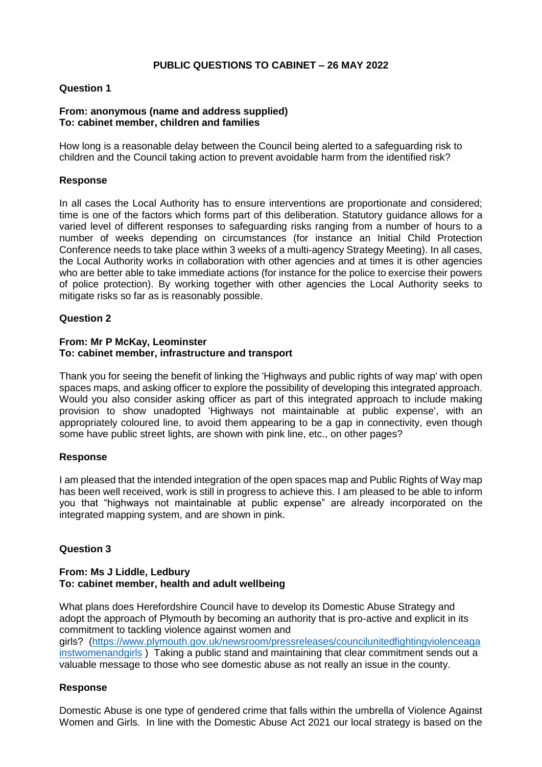# **PUBLIC QUESTIONS TO CABINET – 26 MAY 2022**

# **Question 1**

# **From: anonymous (name and address supplied) To: cabinet member, children and families**

How long is a reasonable delay between the Council being alerted to a safeguarding risk to children and the Council taking action to prevent avoidable harm from the identified risk?

## **Response**

In all cases the Local Authority has to ensure interventions are proportionate and considered; time is one of the factors which forms part of this deliberation. Statutory guidance allows for a varied level of different responses to safeguarding risks ranging from a number of hours to a number of weeks depending on circumstances (for instance an Initial Child Protection Conference needs to take place within 3 weeks of a multi-agency Strategy Meeting). In all cases, the Local Authority works in collaboration with other agencies and at times it is other agencies who are better able to take immediate actions (for instance for the police to exercise their powers of police protection). By working together with other agencies the Local Authority seeks to mitigate risks so far as is reasonably possible.

# **Question 2**

## **From: Mr P McKay, Leominster To: cabinet member, infrastructure and transport**

Thank you for seeing the benefit of linking the 'Highways and public rights of way map' with open spaces maps, and asking officer to explore the possibility of developing this integrated approach. Would you also consider asking officer as part of this integrated approach to include making provision to show unadopted 'Highways not maintainable at public expense', with an appropriately coloured line, to avoid them appearing to be a gap in connectivity, even though some have public street lights, are shown with pink line, etc., on other pages?

### **Response**

I am pleased that the intended integration of the open spaces map and Public Rights of Way map has been well received, work is still in progress to achieve this. I am pleased to be able to inform you that "highways not maintainable at public expense" are already incorporated on the integrated mapping system, and are shown in pink.

# **Question 3**

#### **From: Ms J Liddle, Ledbury To: cabinet member, health and adult wellbeing**

What plans does Herefordshire Council have to develop its Domestic Abuse Strategy and adopt the approach of Plymouth by becoming an authority that is pro-active and explicit in its commitment to tackling violence against women and girls? [\(https://www.plymouth.gov.uk/newsroom/pressreleases/councilunitedfightingviolenceaga](https://www.plymouth.gov.uk/newsroom/pressreleases/councilunitedfightingviolenceagainstwomenandgirls) [instwomenandgirls](https://www.plymouth.gov.uk/newsroom/pressreleases/councilunitedfightingviolenceagainstwomenandgirls) ) Taking a public stand and maintaining that clear commitment sends out a valuable message to those who see domestic abuse as not really an issue in the county.

# **Response**

Domestic Abuse is one type of gendered crime that falls within the umbrella of Violence Against Women and Girls. In line with the Domestic Abuse Act 2021 our local strategy is based on the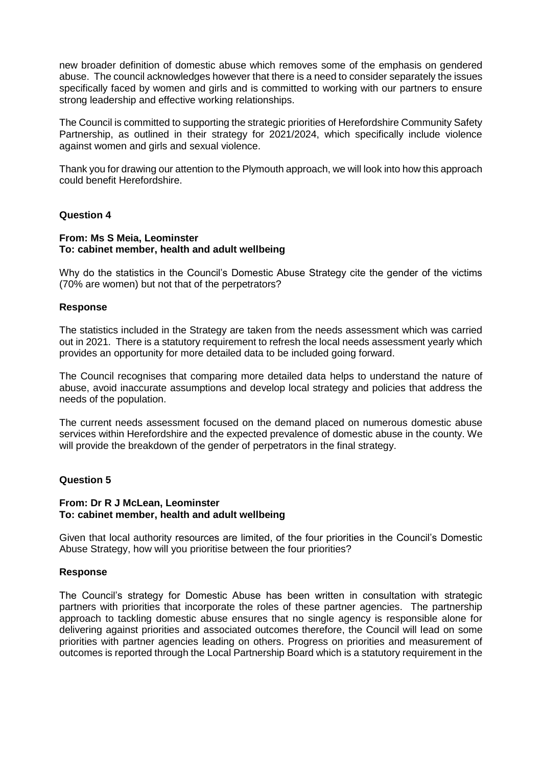new broader definition of domestic abuse which removes some of the emphasis on gendered abuse. The council acknowledges however that there is a need to consider separately the issues specifically faced by women and girls and is committed to working with our partners to ensure strong leadership and effective working relationships.

The Council is committed to supporting the strategic priorities of Herefordshire Community Safety Partnership, as outlined in their strategy for 2021/2024, which specifically include violence against women and girls and sexual violence.

Thank you for drawing our attention to the Plymouth approach, we will look into how this approach could benefit Herefordshire.

# **Question 4**

#### **From: Ms S Meia, Leominster To: cabinet member, health and adult wellbeing**

Why do the statistics in the Council's Domestic Abuse Strategy cite the gender of the victims (70% are women) but not that of the perpetrators?

### **Response**

The statistics included in the Strategy are taken from the needs assessment which was carried out in 2021. There is a statutory requirement to refresh the local needs assessment yearly which provides an opportunity for more detailed data to be included going forward.

The Council recognises that comparing more detailed data helps to understand the nature of abuse, avoid inaccurate assumptions and develop local strategy and policies that address the needs of the population.

The current needs assessment focused on the demand placed on numerous domestic abuse services within Herefordshire and the expected prevalence of domestic abuse in the county. We will provide the breakdown of the gender of perpetrators in the final strategy.

### **Question 5**

### **From: Dr R J McLean, Leominster To: cabinet member, health and adult wellbeing**

Given that local authority resources are limited, of the four priorities in the Council's Domestic Abuse Strategy, how will you prioritise between the four priorities?

## **Response**

The Council's strategy for Domestic Abuse has been written in consultation with strategic partners with priorities that incorporate the roles of these partner agencies. The partnership approach to tackling domestic abuse ensures that no single agency is responsible alone for delivering against priorities and associated outcomes therefore, the Council will lead on some priorities with partner agencies leading on others. Progress on priorities and measurement of outcomes is reported through the Local Partnership Board which is a statutory requirement in the